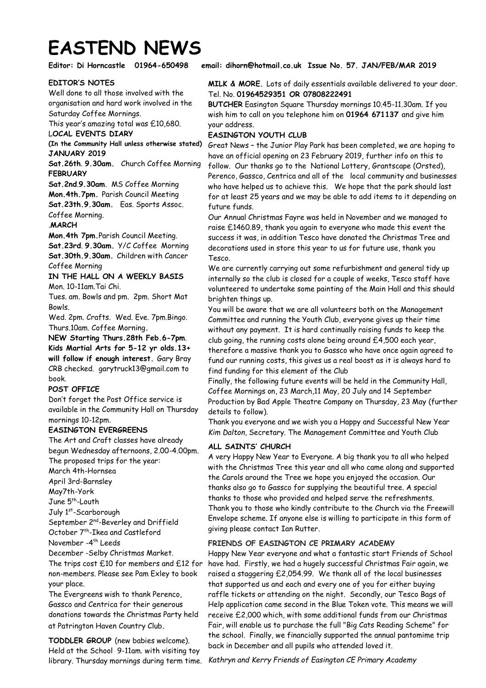# **EASTEND NEWS**

## **EDITOR'S NOTES**

Well done to all those involved with the organisation and hard work involved in the Saturday Coffee Mornings.

This year's amazing total was £10,680.

# L**OCAL EVENTS DIARY**

**(In the Community Hall unless otherwise stated) JANUARY 2019** 

**Sat.26th**. **9.30am.** Church Coffee Morning **FEBRUARY** 

**Sat.2nd**.**9.30am**. MS Coffee Morning **Mon.4th.7pm.** Parish Council Meeting **Sat.23th.9.30am.** Eas. Sports Assoc. Coffee Morning.

.**MARCH**

**Mon.4th 7pm.**Parish Council Meeting. **Sat.23rd**. **9.30am.** Y/C Coffee Morning **Sat.30th.9.30am.** Children with Cancer Coffee Morning

**IN THE HALL ON A WEEKLY BASIS** Mon. 10-11am.Tai Chi.

Tues. am. Bowls and pm. 2pm. Short Mat Bowls.

Wed. 2pm. Crafts. Wed. Eve. 7pm.Bingo. Thurs.10am. Coffee Morning**.** 

**NEW Starting Thurs.28th Feb.6-7pm**. **Kids Martial Arts for 5-12 yr olds.13+ will follow if enough interest.** Gary Bray CRB checked. garytruck13@gmail.com to book.

## **POST OFFICE**

Don't forget the Post Office service is available in the Community Hall on Thursday mornings 10-12pm.

## **EASINGTON EVERGREENS**

The Art and Craft classes have already begun Wednesday afternoons, 2.00-4.00pm. The proposed trips for the year: March 4th-Hornsea April 3rd-Barnsley May7th-York June 5<sup>th</sup>-Louth July 1<sup>st</sup>-Scarborough September 2<sup>nd</sup>-Beverley and Driffield October 7<sup>th</sup>-Ikea and Castleford November -4 th Leeds

December -Selby Christmas Market.

The trips cost £10 for members and £12 for non-members. Please see Pam Exley to book your place.

The Evergreens wish to thank Perenco, Gassco and Centrica for their generous donations towards the Christmas Party held at Patrington Haven Country Club.

**TODDLER GROUP** (new babies welcome). Held at the School 9-11am. with visiting toy library. Thursday mornings during term time.

## **Editor: Di Horncastle 01964-650498 email: dihorn@hotmail.co.uk Issue No. 57. JAN/FEB/MAR 2019**

## **MILK & MORE.** Lots of daily essentials available delivered to your door. Tel. No. **01964529351 OR 07808222491**

**BUTCHER** Easington Square Thursday mornings 10.45-11.30am. If you wish him to call on you telephone him on **01964 671137** and give him your address.

## **EASINGTON YOUTH CLUB**

Great News – the Junior Play Park has been completed, we are hoping to have an official opening on 23 February 2019, further info on this to follow. Our thanks go to the National Lottery, Grantscape (Orsted), Perenco, Gassco, Centrica and all of the local community and businesses who have helped us to achieve this. We hope that the park should last for at least 25 years and we may be able to add items to it depending on future funds.

Our Annual Christmas Fayre was held in November and we managed to raise £1460.89, thank you again to everyone who made this event the success it was, in addition Tesco have donated the Christmas Tree and decorations used in store this year to us for future use, thank you Tesco.

We are currently carrying out some refurbishment and general tidy up internally so the club is closed for a couple of weeks, Tesco staff have volunteered to undertake some painting of the Main Hall and this should brighten things up.

You will be aware that we are all volunteers both on the Management Committee and running the Youth Club, everyone gives up their time without any payment. It is hard continually raising funds to keep the club going, the running costs alone being around £4,500 each year, therefore a massive thank you to Gassco who have once again agreed to fund our running costs, this gives us a real boost as it is always hard to find funding for this element of the Club

Finally, the following future events will be held in the Community Hall, Coffee Mornings on, 23 March,11 May, 20 July and 14 September Production by Bad Apple Theatre Company on Thursday, 23 May (further details to follow).

Thank you everyone and we wish you a Happy and Successful New Year *Kim Dalton,* Secretary. The Management Committee and Youth Club

# **ALL SAINTS' CHURCH**

A very Happy New Year to Everyone. A big thank you to all who helped with the Christmas Tree this year and all who came along and supported the Carols around the Tree we hope you enjoyed the occasion. Our thanks also go to Gassco for supplying the beautiful tree. A special thanks to those who provided and helped serve the refreshments. Thank you to those who kindly contribute to the Church via the Freewill Envelope scheme. If anyone else is willing to participate in this form of giving please contact Ian Rutter.

# **FRIENDS OF EASINGTON CE PRIMARY ACADEMY**

Happy New Year everyone and what a fantastic start Friends of School have had. Firstly, we had a hugely successful Christmas Fair again, we raised a staggering £2,054.99. We thank all of the local businesses that supported us and each and every one of you for either buying raffle tickets or attending on the night. Secondly, our Tesco Bags of Help application came second in the Blue Token vote. This means we will receive £2,000 which, with some additional funds from our Christmas Fair, will enable us to purchase the full "Big Cats Reading Scheme" for the school. Finally, we financially supported the annual pantomime trip back in December and all pupils who attended loved it.

*Kathryn and Kerry Friends of Easington CE Primary Academy*